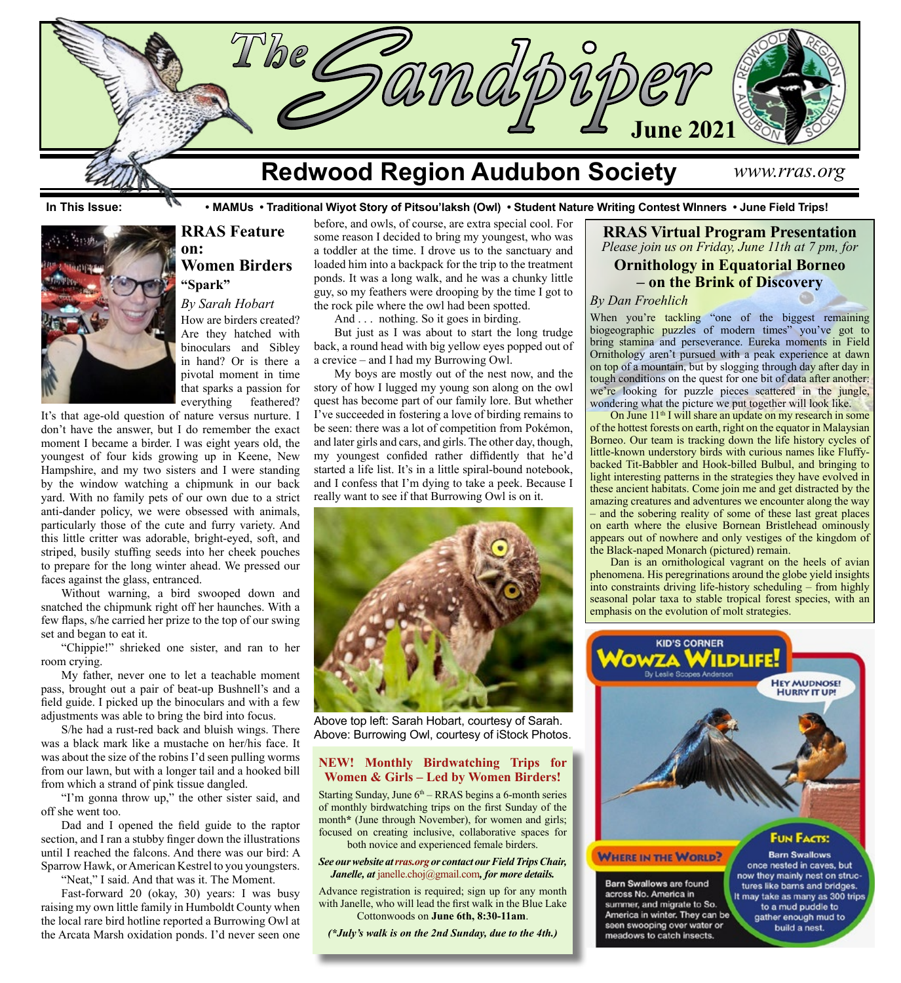

**In This Issue: • MAMUs • Traditional Wiyot Story of Pitsou'laksh (Owl) • Student Nature Writing Contest WInners • June Field Trips!**



## **RRAS Feature on: Women Birders "Spark"**

*By Sarah Hobart*

How are birders created? Are they hatched with binoculars and Sibley in hand? Or is there a pivotal moment in time that sparks a passion for everything feathered?

It's that age-old question of nature versus nurture. I don't have the answer, but I do remember the exact moment I became a birder. I was eight years old, the youngest of four kids growing up in Keene, New Hampshire, and my two sisters and I were standing by the window watching a chipmunk in our back yard. With no family pets of our own due to a strict anti-dander policy, we were obsessed with animals, particularly those of the cute and furry variety. And this little critter was adorable, bright-eyed, soft, and striped, busily stuffing seeds into her cheek pouches to prepare for the long winter ahead. We pressed our faces against the glass, entranced.

Without warning, a bird swooped down and snatched the chipmunk right off her haunches. With a few flaps, s/he carried her prize to the top of our swing set and began to eat it.

"Chippie!" shrieked one sister, and ran to her room crying.

My father, never one to let a teachable moment pass, brought out a pair of beat-up Bushnell's and a field guide. I picked up the binoculars and with a few adjustments was able to bring the bird into focus.

S/he had a rust-red back and bluish wings. There was a black mark like a mustache on her/his face. It was about the size of the robins I'd seen pulling worms from our lawn, but with a longer tail and a hooked bill from which a strand of pink tissue dangled.

"I'm gonna throw up," the other sister said, and off she went too.

Dad and I opened the field guide to the raptor section, and I ran a stubby finger down the illustrations until I reached the falcons. And there was our bird: A Sparrow Hawk, or American Kestrel to you youngsters.

"Neat," I said. And that was it. The Moment.

Fast-forward 20 (okay, 30) years: I was busy raising my own little family in Humboldt County when the local rare bird hotline reported a Burrowing Owl at the Arcata Marsh oxidation ponds. I'd never seen one before, and owls, of course, are extra special cool. For some reason I decided to bring my youngest, who was a toddler at the time. I drove us to the sanctuary and loaded him into a backpack for the trip to the treatment ponds. It was a long walk, and he was a chunky little guy, so my feathers were drooping by the time I got to the rock pile where the owl had been spotted.

And . . . nothing. So it goes in birding.

But just as I was about to start the long trudge back, a round head with big yellow eyes popped out of a crevice – and I had my Burrowing Owl.

My boys are mostly out of the nest now, and the story of how I lugged my young son along on the owl quest has become part of our family lore. But whether I've succeeded in fostering a love of birding remains to be seen: there was a lot of competition from Pokémon, and later girls and cars, and girls. The other day, though, my youngest confided rather diffidently that he'd started a life list. It's in a little spiral-bound notebook, and I confess that I'm dying to take a peek. Because I really want to see if that Burrowing Owl is on it.



Above top left: Sarah Hobart, courtesy of Sarah. Above: Burrowing Owl, courtesy of iStock Photos.

### **NEW! Monthly Birdwatching Trips for Women & Girls – Led by Women Birders!**

Starting Sunday, June  $6<sup>th</sup> - RRAS$  begins a 6-month series of monthly birdwatching trips on the first Sunday of the month<sup>\*</sup> (June through November), for women and girls; focused on creating inclusive, collaborative spaces for both novice and experienced female birders.

#### *See our website at [rras.org](http://rras.org/home.aspx) or contact our Field Trips Chair, Janelle, at* [janelle.choj@gmail.com](http://janelle.choj@gmail.com)*, for more details.*

Advance registration is required; sign up for any month with Janelle, who will lead the first walk in the Blue Lake Cottonwoods on **June 6th, 8:30-11am**.

*(\*July's walk is on the 2nd Sunday, due to the 4th.)*

**RRAS Virtual Program Presentation** *Please join us on Friday, June 11th at 7 pm, for*

# **Ornithology in Equatorial Borneo – on the Brink of Discovery**

*By Dan Froehlich*

When you're tackling "one of the biggest remaining biogeographic puzzles of modern times" you've got to bring stamina and perseverance. Eureka moments in Field Ornithology aren't pursued with a peak experience at dawn on top of a mountain, but by slogging through day after day in tough conditions on the quest for one bit of data after another: we're looking for puzzle pieces scattered in the jungle, wondering what the picture we put together will look like.

On June 11<sup>th</sup> I will share an update on my research in some of the hottest forests on earth, right on the equator in Malaysian Borneo. Our team is tracking down the life history cycles of little-known understory birds with curious names like Fluffybacked Tit-Babbler and Hook-billed Bulbul, and bringing to light interesting patterns in the strategies they have evolved in these ancient habitats. Come join me and get distracted by the amazing creatures and adventures we encounter along the way – and the sobering reality of some of these last great places on earth where the elusive Bornean Bristlehead ominously appears out of nowhere and only vestiges of the kingdom of the Black-naped Monarch (pictured) remain.

Dan is an ornithological vagrant on the heels of avian phenomena. His peregrinations around the globe yield insights into constraints driving life-history scheduling – from highly seasonal polar taxa to stable tropical forest species, with an emphasis on the evolution of molt strategies.



gather enough mud to

build a nest.

America in winter. They can be

seen swooping over water or

meadows to catch insects.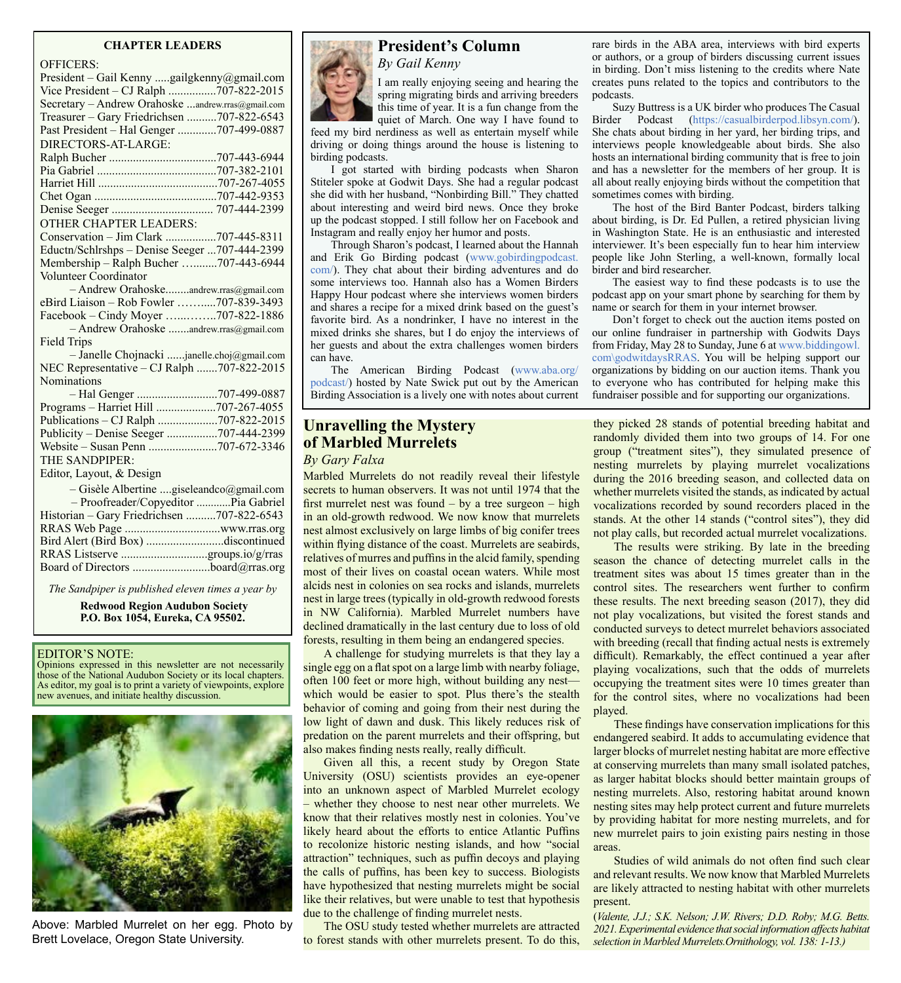#### **CHAPTER LEADERS**

#### OFFICERS:

| UFFICERS.                                         |
|---------------------------------------------------|
| President - Gail Kenny gailgkenny@gmail.com       |
| Vice President - CJ Ralph 707-822-2015            |
| Secretary - Andrew Orahoske andrew.rras@gmail.com |
| Treasurer - Gary Friedrichsen 707-822-6543        |
| Past President - Hal Genger 707-499-0887          |
| DIRECTORS-AT-LARGE:                               |
|                                                   |
|                                                   |
|                                                   |
|                                                   |
|                                                   |
| <b>OTHER CHAPTER LEADERS:</b>                     |
| Conservation - Jim Clark 707-445-8311             |
| Eductn/Schlrshps - Denise Seeger 707-444-2399     |
| Membership - Ralph Bucher 707-443-6944            |
| Volunteer Coordinator                             |
| - Andrew Orahoskeandrew.rras@gmail.com            |
| eBird Liaison - Rob Fowler 707-839-3493           |
| Facebook – Cindy Moyer 707-822-1886               |
| - Andrew Orahoske andrew.rras@gmail.com           |
| <b>Field Trips</b>                                |
| - Janelle Chojnacki janelle.choj@gmail.com        |
| NEC Representative - CJ Ralph 707-822-2015        |
| <b>Nominations</b>                                |
|                                                   |
| Programs - Harriet Hill 707-267-4055              |
| Publications - CJ Ralph 707-822-2015              |
| Publicity - Denise Seeger 707-444-2399            |
|                                                   |
| THE SANDPIPER:                                    |
| Editor, Layout, & Design                          |
| - Gisèle Albertine giseleandco@gmail.com          |
| - Proofreader/Copyeditor  Pia Gabriel             |
| Historian - Gary Friedrichsen 707-822-6543        |
|                                                   |
| Bird Alert (Bird Box) discontinued                |
|                                                   |
|                                                   |
|                                                   |
|                                                   |

*The Sandpiper is published eleven times a year by*

 **Redwood Region Audubon Society P.O. Box 1054, Eureka, CA 95502.**

#### EDITOR'S NOTE:

Opinions expressed in this newsletter are not necessarily those of the National Audubon Society or its local chapters. As editor, my goal is to print a variety of viewpoints, explore new avenues, and initiate healthy discussion.

![](_page_1_Picture_7.jpeg)

Above: Marbled Murrelet on her egg. Photo by Brett Lovelace, Oregon State University.

![](_page_1_Picture_9.jpeg)

### **President's Column** *By Gail Kenny*

I am really enjoying seeing and hearing the spring migrating birds and arriving breeders this time of year. It is a fun change from the quiet of March. One way I have found to

feed my bird nerdiness as well as entertain myself while driving or doing things around the house is listening to birding podcasts.

I got started with birding podcasts when Sharon Stiteler spoke at Godwit Days. She had a regular podcast she did with her husband, "Nonbirding Bill." They chatted about interesting and weird bird news. Once they broke up the podcast stopped. I still follow her on Facebook and Instagram and really enjoy her humor and posts.

Through Sharon's podcast, I learned about the Hannah and Erik Go Birding podcast [\(www.gobirdingpodcast.](https://www.gobirdingpodcast.com/) [com/](https://www.gobirdingpodcast.com/)). They chat about their birding adventures and do some interviews too. Hannah also has a Women Birders Happy Hour podcast where she interviews women birders and shares a recipe for a mixed drink based on the guest's favorite bird. As a nondrinker, I have no interest in the mixed drinks she shares, but I do enjoy the interviews of her guests and about the extra challenges women birders can have.

The American Birding Podcast ([www.aba.org/](http://www.aba.org/podcast/) [podcast/](http://www.aba.org/podcast/)) hosted by Nate Swick put out by the American Birding Association is a lively one with notes about current

## **Unravelling the Mystery of Marbled Murrelets**

### *By Gary Falxa*

Marbled Murrelets do not readily reveal their lifestyle secrets to human observers. It was not until 1974 that the first murrelet nest was found – by a tree surgeon – high in an old-growth redwood. We now know that murrelets nest almost exclusively on large limbs of big conifer trees within flying distance of the coast. Murrelets are seabirds, relatives of murres and puffins in the alcid family, spending most of their lives on coastal ocean waters. While most alcids nest in colonies on sea rocks and islands, murrelets nest in large trees (typically in old-growth redwood forests in NW California). Marbled Murrelet numbers have declined dramatically in the last century due to loss of old forests, resulting in them being an endangered species.

A challenge for studying murrelets is that they lay a single egg on a flat spot on a large limb with nearby foliage, often 100 feet or more high, without building any nest which would be easier to spot. Plus there's the stealth behavior of coming and going from their nest during the low light of dawn and dusk. This likely reduces risk of predation on the parent murrelets and their offspring, but also makes finding nests really, really difficult.

Given all this, a recent study by Oregon State University (OSU) scientists provides an eye-opener into an unknown aspect of Marbled Murrelet ecology – whether they choose to nest near other murrelets. We know that their relatives mostly nest in colonies. You've likely heard about the efforts to entice Atlantic Puffins to recolonize historic nesting islands, and how "social attraction" techniques, such as puffin decoys and playing the calls of puffins, has been key to success. Biologists have hypothesized that nesting murrelets might be social like their relatives, but were unable to test that hypothesis due to the challenge of finding murrelet nests.

The OSU study tested whether murrelets are attracted to forest stands with other murrelets present. To do this,

rare birds in the ABA area, interviews with bird experts or authors, or a group of birders discussing current issues in birding. Don't miss listening to the credits where Nate creates puns related to the topics and contributors to the podcasts.

Suzy Buttress is a UK birder who produces The Casual Birder Podcast (<https://casualbirderpod.libsyn.com/>). She chats about birding in her yard, her birding trips, and interviews people knowledgeable about birds. She also hosts an international birding community that is free to join and has a newsletter for the members of her group. It is all about really enjoying birds without the competition that sometimes comes with birding.

The host of the Bird Banter Podcast, birders talking about birding, is Dr. Ed Pullen, a retired physician living in Washington State. He is an enthusiastic and interested interviewer. It's been especially fun to hear him interview people like John Sterling, a well-known, formally local birder and bird researcher.

The easiest way to find these podcasts is to use the podcast app on your smart phone by searching for them by name or search for them in your internet browser.

Don't forget to check out the auction items posted on our online fundraiser in partnership with Godwits Days from Friday, May 28 to Sunday, June 6 at [www.biddingowl.](http://www.biddingowl.com\godwitdaysRRAS) [com\godwitdaysRRAS.](http://www.biddingowl.com\godwitdaysRRAS) You will be helping support our organizations by bidding on our auction items. Thank you to everyone who has contributed for helping make this fundraiser possible and for supporting our organizations.

they picked 28 stands of potential breeding habitat and randomly divided them into two groups of 14. For one group ("treatment sites"), they simulated presence of nesting murrelets by playing murrelet vocalizations during the 2016 breeding season, and collected data on whether murrelets visited the stands, as indicated by actual vocalizations recorded by sound recorders placed in the stands. At the other 14 stands ("control sites"), they did not play calls, but recorded actual murrelet vocalizations.

The results were striking. By late in the breeding season the chance of detecting murrelet calls in the treatment sites was about 15 times greater than in the control sites. The researchers went further to confirm these results. The next breeding season (2017), they did not play vocalizations, but visited the forest stands and conducted surveys to detect murrelet behaviors associated with breeding (recall that finding actual nests is extremely difficult). Remarkably, the effect continued a year after playing vocalizations, such that the odds of murrelets occupying the treatment sites were 10 times greater than for the control sites, where no vocalizations had been played.

These findings have conservation implications for this endangered seabird. It adds to accumulating evidence that larger blocks of murrelet nesting habitat are more effective at conserving murrelets than many small isolated patches, as larger habitat blocks should better maintain groups of nesting murrelets. Also, restoring habitat around known nesting sites may help protect current and future murrelets by providing habitat for more nesting murrelets, and for new murrelet pairs to join existing pairs nesting in those areas.

Studies of wild animals do not often find such clear and relevant results. We now know that Marbled Murrelets are likely attracted to nesting habitat with other murrelets present.

(*Valente, J.J.; S.K. Nelson; J.W. Rivers; D.D. Roby; M.G. Betts. 2021. Experimental evidence that social information affects habitat selection in Marbled Murrelets.Ornithology, vol. 138: 1-13.)*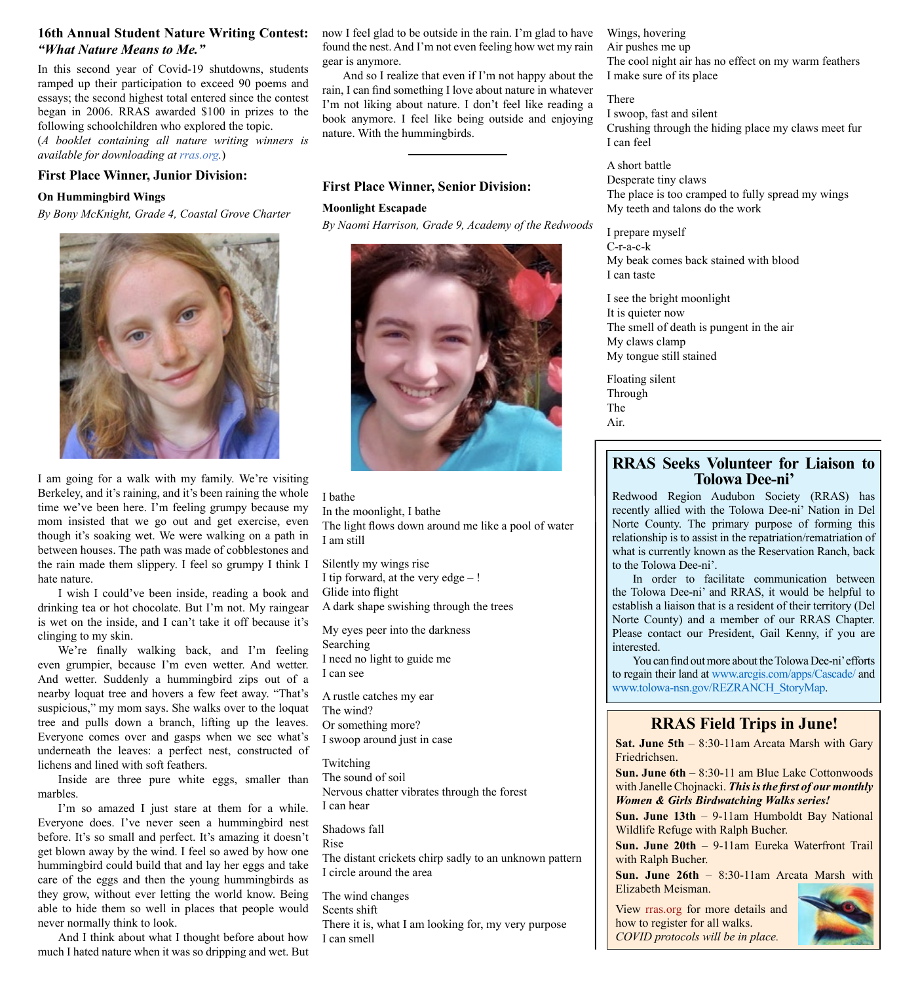### **16th Annual Student Nature Writing Contest:**  *"What Nature Means to Me."*

In this second year of Covid-19 shutdowns, students ramped up their participation to exceed 90 poems and essays; the second highest total entered since the contest began in 2006. RRAS awarded \$100 in prizes to the following schoolchildren who explored the topic.

(*A booklet containing all nature writing winners is available for downloading at [rras.org](http://rras.org/home.aspx).*)

### **First Place Winner, Junior Division:**

#### **On Hummingbird Wings**

*By Bony McKnight, Grade 4, Coastal Grove Charter*

![](_page_2_Picture_6.jpeg)

I am going for a walk with my family. We're visiting Berkeley, and it's raining, and it's been raining the whole time we've been here. I'm feeling grumpy because my mom insisted that we go out and get exercise, even though it's soaking wet. We were walking on a path in between houses. The path was made of cobblestones and the rain made them slippery. I feel so grumpy I think I hate nature.

I wish I could've been inside, reading a book and drinking tea or hot chocolate. But I'm not. My raingear is wet on the inside, and I can't take it off because it's clinging to my skin.

We're finally walking back, and I'm feeling even grumpier, because I'm even wetter. And wetter. And wetter. Suddenly a hummingbird zips out of a nearby loquat tree and hovers a few feet away. "That's suspicious," my mom says. She walks over to the loquat tree and pulls down a branch, lifting up the leaves. Everyone comes over and gasps when we see what's underneath the leaves: a perfect nest, constructed of lichens and lined with soft feathers.

Inside are three pure white eggs, smaller than marbles.

I'm so amazed I just stare at them for a while. Everyone does. I've never seen a hummingbird nest before. It's so small and perfect. It's amazing it doesn't get blown away by the wind. I feel so awed by how one hummingbird could build that and lay her eggs and take care of the eggs and then the young hummingbirds as they grow, without ever letting the world know. Being able to hide them so well in places that people would never normally think to look.

And I think about what I thought before about how much I hated nature when it was so dripping and wet. But

now I feel glad to be outside in the rain. I'm glad to have found the nest. And I'm not even feeling how wet my rain gear is anymore.

And so I realize that even if I'm not happy about the rain, I can find something I love about nature in whatever I'm not liking about nature. I don't feel like reading a book anymore. I feel like being outside and enjoying nature. With the hummingbirds.

### **First Place Winner, Senior Division:**

#### **Moonlight Escapade**

*By Naomi Harrison, Grade 9, Academy of the Redwoods*

![](_page_2_Picture_18.jpeg)

I bathe In the moonlight, I bathe The light flows down around me like a pool of water I am still

Silently my wings rise I tip forward, at the very  $edge -!$ Glide into flight A dark shape swishing through the trees

My eyes peer into the darkness Searching I need no light to guide me I can see

A rustle catches my ear The wind? Or something more? I swoop around just in case

Twitching The sound of soil Nervous chatter vibrates through the forest I can hear

Shadows fall Rise The distant crickets chirp sadly to an unknown pattern I circle around the area

The wind changes Scents shift There it is, what I am looking for, my very purpose I can smell

Wings, hovering Air pushes me up The cool night air has no effect on my warm feathers I make sure of its place

There I swoop, fast and silent Crushing through the hiding place my claws meet fur I can feel

A short battle Desperate tiny claws The place is too cramped to fully spread my wings My teeth and talons do the work

I prepare myself C-r-a-c-k My beak comes back stained with blood I can taste

I see the bright moonlight It is quieter now The smell of death is pungent in the air My claws clamp My tongue still stained

Floating silent Through The Air.

## **RRAS Seeks Volunteer for Liaison to Tolowa Dee-ni'**

Redwood Region Audubon Society (RRAS) has recently allied with the Tolowa Dee-ni' Nation in Del Norte County. The primary purpose of forming this relationship is to assist in the repatriation/rematriation of what is currently known as the Reservation Ranch, back to the Tolowa Dee-ni'.

In order to facilitate communication between the Tolowa Dee-ni' and RRAS, it would be helpful to establish a liaison that is a resident of their territory (Del Norte County) and a member of our RRAS Chapter. Please contact our President, Gail Kenny, if you are interested.

You can find out more about the Tolowa Dee-ni' efforts to regain their land at [www.arcgis.com/apps/Cascade/](https://www.arcgis.com/apps/Cascade/index.html?appid=cc401f2b9ced46929558f5d8a6bed041) and [www.tolowa-nsn.gov/REZRANCH\\_StoryMap](https://www.tolowa-nsn.gov/wp-content/uploads/2021/02/REZRANCH_StoryMap_publice-notices.pdf).

## **RRAS Field Trips in June!**

**Sat. June 5th** – 8:30-11am Arcata Marsh with Gary Friedrichsen.

**Sun. June 6th** – 8:30-11 am Blue Lake Cottonwoods with Janelle Chojnacki. *This is the first of our monthly Women & Girls Birdwatching Walks series!*

**Sun. June 13th** – 9-11am Humboldt Bay National Wildlife Refuge with Ralph Bucher.

**Sun. June 20th** – 9-11am Eureka Waterfront Trail with Ralph Bucher.

**Sun. June 26th** – 8:30-11am Arcata Marsh with Elizabeth Meisman.

View [rras.org](http://rras.org/home.aspx) for more details and how to register for all walks. *COVID protocols will be in place.*

![](_page_2_Picture_43.jpeg)